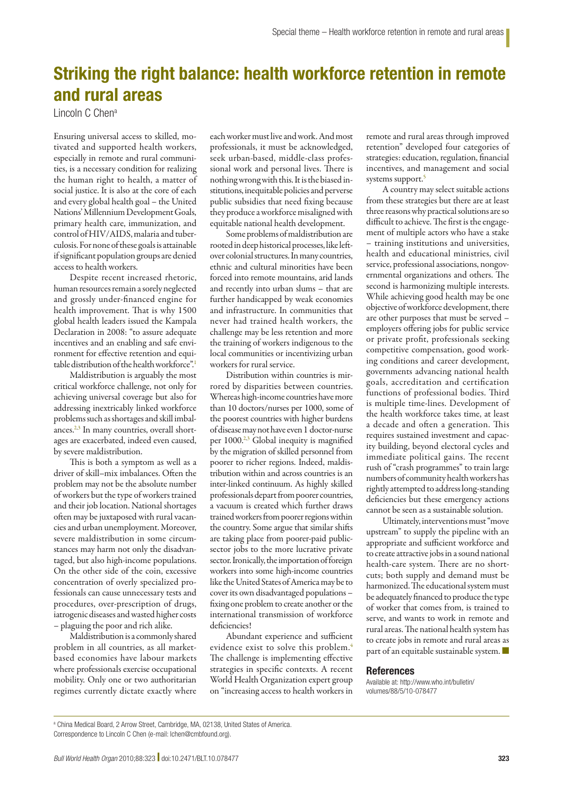## Striking the right balance: health workforce retention in remote and rural areas

Lincoln C Chena

Ensuring universal access to skilled, motivated and supported health workers, especially in remote and rural communities, is a necessary condition for realizing the human right to health, a matter of social justice. It is also at the core of each and every global health goal – the United Nations' Millennium Development Goals, primary health care, immunization, and control of HIV/AIDS, malaria and tuberculosis. For none of these goals is attainable if significant population groups are denied access to health workers.

Despite recent increased rhetoric, human resources remain a sorely neglected and grossly under-financed engine for health improvement. That is why 1500 global health leaders issued the Kampala Declaration in 2008: "to assure adequate incentives and an enabling and safe environment for effective retention and equitable distribution of the health workforce"[.1](#page-1-0)

Maldistribution is arguably the most critical workforce challenge, not only for achieving universal coverage but also for addressing inextricably linked workforce problems such as shortages and skill imbal-ances.<sup>2[,3](#page-1-2)</sup> In many countries, overall shortages are exacerbated, indeed even caused, by severe maldistribution.

This is both a symptom as well as a driver of skill–mix imbalances. Often the problem may not be the absolute number of workers but the type of workers trained and their job location. National shortages often may be juxtaposed with rural vacancies and urban unemployment. Moreover, severe maldistribution in some circumstances may harm not only the disadvantaged, but also high-income populations. On the other side of the coin, excessive concentration of overly specialized professionals can cause unnecessary tests and procedures, over-prescription of drugs, iatrogenic diseases and wasted higher costs – plaguing the poor and rich alike.

Maldistribution is a commonly shared problem in all countries, as all marketbased economies have labour markets where professionals exercise occupational mobility. Only one or two authoritarian regimes currently dictate exactly where

each worker must live and work. And most professionals, it must be acknowledged, seek urban-based, middle-class professional work and personal lives. There is nothing wrong with this. It is the biased institutions, inequitable policies and perverse public subsidies that need fixing because they produce a workforce misaligned with equitable national health development.

Some problems of maldistribution are rooted in deep historical processes, like leftover colonial structures. In many countries, ethnic and cultural minorities have been forced into remote mountains, arid lands and recently into urban slums – that are further handicapped by weak economies and infrastructure. In communities that never had trained health workers, the challenge may be less retention and more the training of workers indigenous to the local communities or incentivizing urban workers for rural service.

Distribution within countries is mirrored by disparities between countries. Whereas high-income countries have more than 10 doctors/nurses per 1000, some of the poorest countries with higher burdens of disease may not have even 1 doctor-nurse per 1000.<sup>2[,3](#page-1-2)</sup> Global inequity is magnified by the migration of skilled personnel from poorer to richer regions. Indeed, maldistribution within and across countries is an inter-linked continuum. As highly skilled professionals depart from poorer countries, a vacuum is created which further draws trained workers from poorer regions within the country. Some argue that similar shifts are taking place from poorer-paid publicsector jobs to the more lucrative private sector. Ironically, the importation of foreign workers into some high-income countries like the United States of America may be to cover its own disadvantaged populations – fixing one problem to create another or the international transmission of workforce deficiencies!

Abundant experience and sufficient evidence exist to solve this problem.<sup>4</sup> The challenge is implementing effective strategies in specific contexts. A recent World Health Organization expert group on "increasing access to health workers in remote and rural areas through improved retention" developed four categories of strategies: education, regulation, financial incentives, and management and social systems support.<sup>[5](#page-1-4)</sup>

A country may select suitable actions from these strategies but there are at least three reasons why practical solutions are so difficult to achieve. The first is the engagement of multiple actors who have a stake – training institutions and universities, health and educational ministries, civil service, professional associations, nongovernmental organizations and others. The second is harmonizing multiple interests. While achieving good health may be one objective of workforce development, there are other purposes that must be served – employers offering jobs for public service or private profit, professionals seeking competitive compensation, good working conditions and career development, governments advancing national health goals, accreditation and certification functions of professional bodies. Third is multiple time-lines. Development of the health workforce takes time, at least a decade and often a generation. This requires sustained investment and capacity building, beyond electoral cycles and immediate political gains. The recent rush of "crash programmes" to train large numbers of community health workers has rightly attempted to address long-standing deficiencies but these emergency actions cannot be seen as a sustainable solution.

Ultimately, interventions must "move upstream" to supply the pipeline with an appropriate and sufficient workforce and to create attractive jobs in a sound national health-care system. There are no shortcuts; both supply and demand must be harmonized. The educational system must be adequately financed to produce the type of worker that comes from, is trained to serve, and wants to work in remote and rural areas. The national health system has to create jobs in remote and rural areas as part of an equitable sustainable system. ■

## References

Available at: http://www.who.int/bulletin/ volumes/88/5/10-078477

a China Medical Board, 2 Arrow Street, Cambridge, MA, 02138, United States of America. Correspondence to Lincoln C Chen (e-mail: lchen@cmbfound.org).